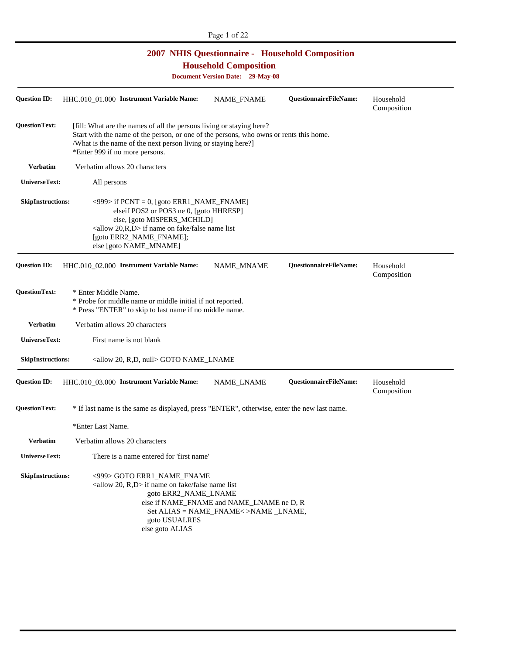| <b>2007 NHIS Questionnaire - Household Composition</b><br><b>Household Composition</b><br><b>Document Version Date: 29-May-08</b> |                                                                                                                                                                                                                                                                   |                                                                                   |                               |                          |
|-----------------------------------------------------------------------------------------------------------------------------------|-------------------------------------------------------------------------------------------------------------------------------------------------------------------------------------------------------------------------------------------------------------------|-----------------------------------------------------------------------------------|-------------------------------|--------------------------|
| <b>Ouestion ID:</b>                                                                                                               | HHC.010_01.000 Instrument Variable Name:                                                                                                                                                                                                                          | NAME FNAME                                                                        | <b>OuestionnaireFileName:</b> | Household<br>Composition |
| <b>QuestionText:</b>                                                                                                              | [fill: What are the names of all the persons living or staying here?<br>Start with the name of the person, or one of the persons, who owns or rents this home.<br>/What is the name of the next person living or staying here?]<br>*Enter 999 if no more persons. |                                                                                   |                               |                          |
| <b>Verbatim</b>                                                                                                                   | Verbatim allows 20 characters                                                                                                                                                                                                                                     |                                                                                   |                               |                          |
| UniverseText:                                                                                                                     | All persons                                                                                                                                                                                                                                                       |                                                                                   |                               |                          |
| <b>SkipInstructions:</b>                                                                                                          | $\langle$ 999> if PCNT = 0, [goto ERR1_NAME_FNAME]<br>elseif POS2 or POS3 ne 0, [goto HHRESP]<br>else, [goto MISPERS_MCHILD]<br>$\langle$ allow 20,R,D $>$ if name on fake/false name list<br>[goto ERR2_NAME_FNAME];<br>else [goto NAME_MNAME]                   |                                                                                   |                               |                          |
| <b>Question ID:</b>                                                                                                               | HHC.010_02.000 Instrument Variable Name:                                                                                                                                                                                                                          | <b>NAME MNAME</b>                                                                 | <b>QuestionnaireFileName:</b> | Household<br>Composition |
| <b>QuestionText:</b>                                                                                                              | * Enter Middle Name.<br>* Probe for middle name or middle initial if not reported.<br>* Press "ENTER" to skip to last name if no middle name.                                                                                                                     |                                                                                   |                               |                          |
| <b>Verbatim</b>                                                                                                                   | Verbatim allows 20 characters                                                                                                                                                                                                                                     |                                                                                   |                               |                          |
| UniverseText:                                                                                                                     | First name is not blank                                                                                                                                                                                                                                           |                                                                                   |                               |                          |
| <b>SkipInstructions:</b>                                                                                                          | <allow 20,="" null="" r,d,=""> GOTO NAME_LNAME</allow>                                                                                                                                                                                                            |                                                                                   |                               |                          |
| <b>Question ID:</b>                                                                                                               | HHC.010_03.000 Instrument Variable Name:                                                                                                                                                                                                                          | NAME_LNAME                                                                        | QuestionnaireFileName:        | Household<br>Composition |
| <b>QuestionText:</b>                                                                                                              | * If last name is the same as displayed, press "ENTER", otherwise, enter the new last name.                                                                                                                                                                       |                                                                                   |                               |                          |
|                                                                                                                                   | *Enter Last Name.                                                                                                                                                                                                                                                 |                                                                                   |                               |                          |
| <b>Verbatim</b>                                                                                                                   | Verbatim allows 20 characters                                                                                                                                                                                                                                     |                                                                                   |                               |                          |
| UniverseText:                                                                                                                     | There is a name entered for 'first name'                                                                                                                                                                                                                          |                                                                                   |                               |                          |
| <b>SkipInstructions:</b>                                                                                                          | <999> GOTO ERR1_NAME_FNAME<br>$\langle$ allow 20, R,D $>$ if name on fake/false name list<br>goto ERR2_NAME_LNAME<br>goto USUALRES<br>else goto ALIAS                                                                                                             | else if NAME_FNAME and NAME_LNAME ne D, R<br>Set ALIAS = NAME_FNAME<>NAME _LNAME, |                               |                          |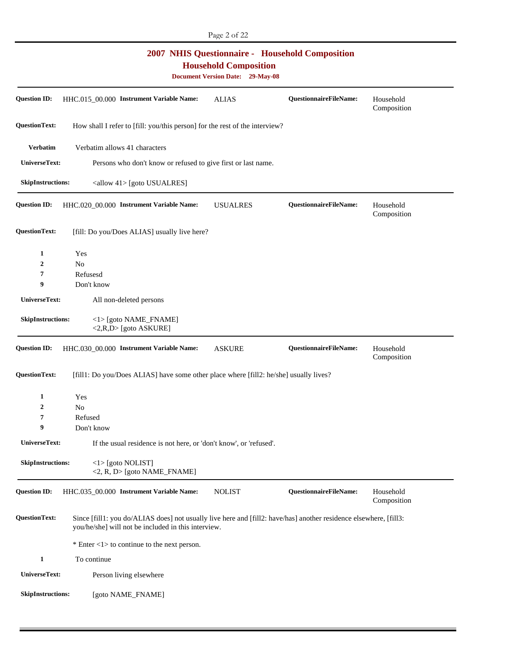|                          |                                                                                                                                                                          | <b>2007 NHIS Questionnaire - Household Composition</b><br><b>Household Composition</b><br><b>Document Version Date: 29-May-08</b> |                        |                          |
|--------------------------|--------------------------------------------------------------------------------------------------------------------------------------------------------------------------|-----------------------------------------------------------------------------------------------------------------------------------|------------------------|--------------------------|
| <b>Question ID:</b>      | HHC.015 00.000 Instrument Variable Name:                                                                                                                                 | <b>ALIAS</b>                                                                                                                      | QuestionnaireFileName: | Household<br>Composition |
| <b>QuestionText:</b>     | How shall I refer to [fill: you/this person] for the rest of the interview?                                                                                              |                                                                                                                                   |                        |                          |
| <b>Verbatim</b>          | Verbatim allows 41 characters                                                                                                                                            |                                                                                                                                   |                        |                          |
| UniverseText:            | Persons who don't know or refused to give first or last name.                                                                                                            |                                                                                                                                   |                        |                          |
| <b>SkipInstructions:</b> | <allow 41=""> [goto USUALRES]</allow>                                                                                                                                    |                                                                                                                                   |                        |                          |
| <b>Question ID:</b>      | HHC.020_00.000 Instrument Variable Name:                                                                                                                                 | <b>USUALRES</b>                                                                                                                   | QuestionnaireFileName: | Household<br>Composition |
| <b>QuestionText:</b>     | [fill: Do you/Does ALIAS] usually live here?                                                                                                                             |                                                                                                                                   |                        |                          |
| 1                        | Yes                                                                                                                                                                      |                                                                                                                                   |                        |                          |
| $\boldsymbol{2}$         | N <sub>o</sub>                                                                                                                                                           |                                                                                                                                   |                        |                          |
| 7                        | Refusesd                                                                                                                                                                 |                                                                                                                                   |                        |                          |
| 9                        | Don't know                                                                                                                                                               |                                                                                                                                   |                        |                          |
| UniverseText:            | All non-deleted persons                                                                                                                                                  |                                                                                                                                   |                        |                          |
| <b>SkipInstructions:</b> | $\langle$ 1> [goto NAME_FNAME]<br><2,R,D> [goto ASKURE]                                                                                                                  |                                                                                                                                   |                        |                          |
| <b>Question ID:</b>      | HHC.030_00.000 Instrument Variable Name:                                                                                                                                 | <b>ASKURE</b>                                                                                                                     | QuestionnaireFileName: | Household<br>Composition |
| <b>QuestionText:</b>     | [fill1: Do you/Does ALIAS] have some other place where [fill2: he/she] usually lives?                                                                                    |                                                                                                                                   |                        |                          |
| 1                        | Yes                                                                                                                                                                      |                                                                                                                                   |                        |                          |
| 2                        | No.                                                                                                                                                                      |                                                                                                                                   |                        |                          |
| 7                        | Refused                                                                                                                                                                  |                                                                                                                                   |                        |                          |
| 9                        | Don't know                                                                                                                                                               |                                                                                                                                   |                        |                          |
| <b>UniverseText:</b>     | If the usual residence is not here, or 'don't know', or 'refused'.                                                                                                       |                                                                                                                                   |                        |                          |
| <b>SkipInstructions:</b> | <1>[goto NOLIST]<br><2, R, D> [goto NAME_FNAME]                                                                                                                          |                                                                                                                                   |                        |                          |
| <b>Question ID:</b>      | HHC.035_00.000 Instrument Variable Name:                                                                                                                                 | <b>NOLIST</b>                                                                                                                     | QuestionnaireFileName: | Household<br>Composition |
| <b>QuestionText:</b>     | Since [fill1: you do/ALIAS does] not usually live here and [fill2: have/has] another residence elsewhere, [fill3:<br>you/he/she] will not be included in this interview. |                                                                                                                                   |                        |                          |
|                          | * Enter $\langle 1 \rangle$ to continue to the next person.                                                                                                              |                                                                                                                                   |                        |                          |
| $\mathbf{1}$             | To continue                                                                                                                                                              |                                                                                                                                   |                        |                          |
| UniverseText:            | Person living elsewhere                                                                                                                                                  |                                                                                                                                   |                        |                          |
| <b>SkipInstructions:</b> | [goto NAME_FNAME]                                                                                                                                                        |                                                                                                                                   |                        |                          |

Page 2 of 22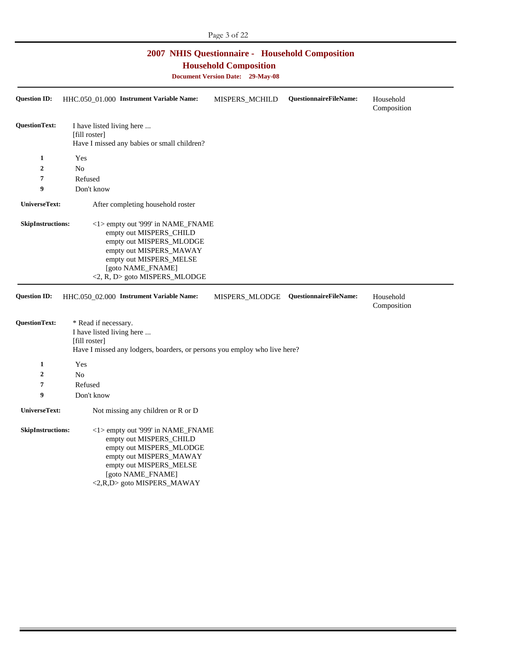## **2007 NHIS Questionnaire - Household Composition**

**Household Composition** 

**Document Version Date: 29-May-08** 

| <b>Question ID:</b>      | HHC.050_01.000 Instrument Variable Name:                                                                                                                                                             | MISPERS_MCHILD | <b>QuestionnaireFileName:</b> | Household<br>Composition |
|--------------------------|------------------------------------------------------------------------------------------------------------------------------------------------------------------------------------------------------|----------------|-------------------------------|--------------------------|
| <b>QuestionText:</b>     | I have listed living here<br>[fill roster]<br>Have I missed any babies or small children?                                                                                                            |                |                               |                          |
| 1                        | Yes                                                                                                                                                                                                  |                |                               |                          |
| $\overline{2}$           | N <sub>o</sub>                                                                                                                                                                                       |                |                               |                          |
| 7                        | Refused                                                                                                                                                                                              |                |                               |                          |
| 9                        | Don't know                                                                                                                                                                                           |                |                               |                          |
| UniverseText:            | After completing household roster                                                                                                                                                                    |                |                               |                          |
| <b>SkipInstructions:</b> | <1> empty out '999' in NAME_FNAME<br>empty out MISPERS_CHILD<br>empty out MISPERS_MLODGE<br>empty out MISPERS_MAWAY<br>empty out MISPERS_MELSE<br>[goto NAME_FNAME]<br><2, R, D> goto MISPERS_MLODGE |                |                               |                          |
| <b>Question ID:</b>      | HHC.050_02.000 Instrument Variable Name:                                                                                                                                                             | MISPERS_MLODGE | QuestionnaireFileName:        | Household<br>Composition |
| <b>QuestionText:</b>     | * Read if necessary.<br>I have listed living here<br>[fill roster]<br>Have I missed any lodgers, boarders, or persons you employ who live here?                                                      |                |                               |                          |
| $\mathbf{1}$             | Yes                                                                                                                                                                                                  |                |                               |                          |
| $\overline{2}$           | N <sub>o</sub>                                                                                                                                                                                       |                |                               |                          |
| 7                        | Refused                                                                                                                                                                                              |                |                               |                          |
| 9                        | Don't know                                                                                                                                                                                           |                |                               |                          |
| UniverseText:            | Not missing any children or R or D                                                                                                                                                                   |                |                               |                          |
| <b>SkipInstructions:</b> | <1> empty out '999' in NAME_FNAME<br>empty out MISPERS_CHILD<br>empty out MISPERS_MLODGE<br>empty out MISPERS_MAWAY<br>empty out MISPERS_MELSE<br>[goto NAME_FNAME]<br><2,R,D> goto MISPERS_MAWAY    |                |                               |                          |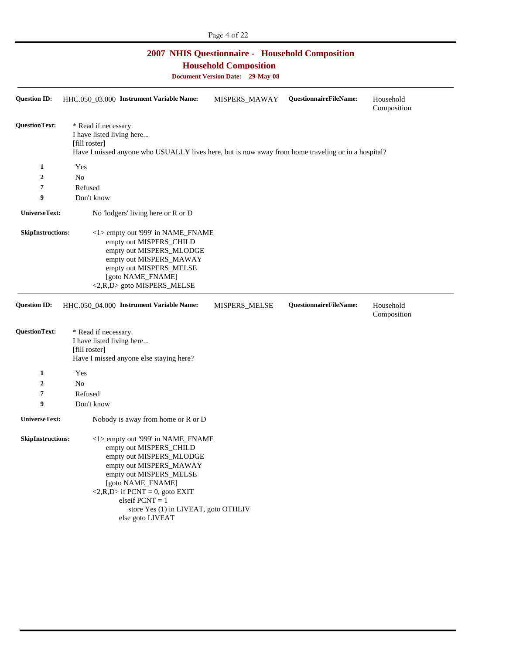## **2007 NHIS Questionnaire - Household Composition**

**Household Composition** 

**Document Version Date: 29-May-08** 

| <b>Question ID:</b>      | HHC.050_03.000 Instrument Variable Name:                                                                                                                                                                                                                                                                 | MISPERS_MAWAY | QuestionnaireFileName: | Household<br>Composition |
|--------------------------|----------------------------------------------------------------------------------------------------------------------------------------------------------------------------------------------------------------------------------------------------------------------------------------------------------|---------------|------------------------|--------------------------|
| <b>QuestionText:</b>     | * Read if necessary.<br>I have listed living here<br>[fill roster]<br>Have I missed anyone who USUALLY lives here, but is now away from home traveling or in a hospital?                                                                                                                                 |               |                        |                          |
| 1                        | Yes                                                                                                                                                                                                                                                                                                      |               |                        |                          |
| $\boldsymbol{2}$         | No                                                                                                                                                                                                                                                                                                       |               |                        |                          |
| 7                        | Refused                                                                                                                                                                                                                                                                                                  |               |                        |                          |
| 9                        | Don't know                                                                                                                                                                                                                                                                                               |               |                        |                          |
| UniverseText:            | No 'lodgers' living here or R or D                                                                                                                                                                                                                                                                       |               |                        |                          |
| <b>SkipInstructions:</b> | <1> empty out '999' in NAME_FNAME<br>empty out MISPERS_CHILD<br>empty out MISPERS_MLODGE<br>empty out MISPERS_MAWAY<br>empty out MISPERS_MELSE<br>[goto NAME_FNAME]<br><2,R,D> goto MISPERS_MELSE                                                                                                        |               |                        |                          |
| <b>Question ID:</b>      | HHC.050_04.000 Instrument Variable Name:                                                                                                                                                                                                                                                                 | MISPERS_MELSE | QuestionnaireFileName: | Household<br>Composition |
| <b>QuestionText:</b>     | * Read if necessary.<br>I have listed living here<br>[fill roster]<br>Have I missed anyone else staying here?                                                                                                                                                                                            |               |                        |                          |
| 1                        | Yes                                                                                                                                                                                                                                                                                                      |               |                        |                          |
| $\boldsymbol{2}$         | N <sub>o</sub>                                                                                                                                                                                                                                                                                           |               |                        |                          |
| 7                        | Refused                                                                                                                                                                                                                                                                                                  |               |                        |                          |
| 9                        | Don't know                                                                                                                                                                                                                                                                                               |               |                        |                          |
| UniverseText:            | Nobody is away from home or R or D                                                                                                                                                                                                                                                                       |               |                        |                          |
| <b>SkipInstructions:</b> | <1> empty out '999' in NAME_FNAME<br>empty out MISPERS_CHILD<br>empty out MISPERS_MLODGE<br>empty out MISPERS_MAWAY<br>empty out MISPERS_MELSE<br>[goto NAME_FNAME]<br>$\langle 2, R, D \rangle$ if PCNT = 0, goto EXIT<br>elseif $PCNT = 1$<br>store Yes (1) in LIVEAT, goto OTHLIV<br>else goto LIVEAT |               |                        |                          |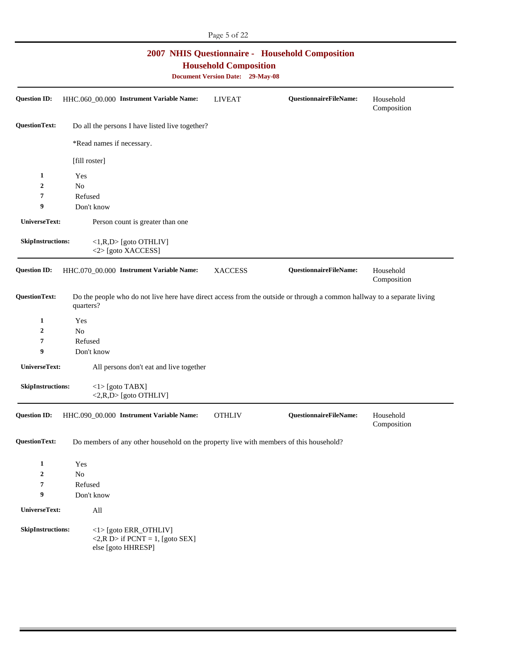| <b>2007 NHIS Questionnaire - Household Composition</b><br><b>Household Composition</b><br><b>Document Version Date: 29-May-08</b> |                           |                                                                                                |                |                                                                                                                         |                          |
|-----------------------------------------------------------------------------------------------------------------------------------|---------------------------|------------------------------------------------------------------------------------------------|----------------|-------------------------------------------------------------------------------------------------------------------------|--------------------------|
| <b>Question ID:</b>                                                                                                               |                           | HHC.060_00.000 Instrument Variable Name:                                                       | <b>LIVEAT</b>  | QuestionnaireFileName:                                                                                                  | Household<br>Composition |
| <b>QuestionText:</b>                                                                                                              |                           | Do all the persons I have listed live together?                                                |                |                                                                                                                         |                          |
|                                                                                                                                   | *Read names if necessary. |                                                                                                |                |                                                                                                                         |                          |
|                                                                                                                                   | [fill roster]             |                                                                                                |                |                                                                                                                         |                          |
| 1                                                                                                                                 | Yes                       |                                                                                                |                |                                                                                                                         |                          |
| 2                                                                                                                                 | N <sub>o</sub>            |                                                                                                |                |                                                                                                                         |                          |
| 7                                                                                                                                 | Refused                   |                                                                                                |                |                                                                                                                         |                          |
| 9                                                                                                                                 | Don't know                |                                                                                                |                |                                                                                                                         |                          |
| UniverseText:                                                                                                                     |                           | Person count is greater than one                                                               |                |                                                                                                                         |                          |
| <b>SkipInstructions:</b>                                                                                                          |                           | <1,R,D> [goto OTHLIV]<br><2>[goto XACCESS]                                                     |                |                                                                                                                         |                          |
| <b>Question ID:</b>                                                                                                               |                           | HHC.070_00.000 Instrument Variable Name:                                                       | <b>XACCESS</b> | <b>QuestionnaireFileName:</b>                                                                                           | Household<br>Composition |
| <b>QuestionText:</b>                                                                                                              | quarters?                 |                                                                                                |                | Do the people who do not live here have direct access from the outside or through a common hallway to a separate living |                          |
| 1                                                                                                                                 | Yes                       |                                                                                                |                |                                                                                                                         |                          |
| 2                                                                                                                                 | N <sub>o</sub>            |                                                                                                |                |                                                                                                                         |                          |
| 7                                                                                                                                 | Refused                   |                                                                                                |                |                                                                                                                         |                          |
| 9                                                                                                                                 | Don't know                |                                                                                                |                |                                                                                                                         |                          |
| UniverseText:                                                                                                                     |                           | All persons don't eat and live together                                                        |                |                                                                                                                         |                          |
| <b>SkipInstructions:</b>                                                                                                          | $\langle$ 1> [goto TABX]  | <2,R,D> [goto OTHLIV]                                                                          |                |                                                                                                                         |                          |
|                                                                                                                                   |                           | Question ID: HHC.090_00.000 Instrument Variable Name:                                          | <b>OTHLIV</b>  | <b>QuestionnaireFileName:</b>                                                                                           | Household<br>Composition |
| <b>QuestionText:</b>                                                                                                              |                           | Do members of any other household on the property live with members of this household?         |                |                                                                                                                         |                          |
| 1                                                                                                                                 | Yes                       |                                                                                                |                |                                                                                                                         |                          |
| $\overline{2}$                                                                                                                    | No                        |                                                                                                |                |                                                                                                                         |                          |
| 7                                                                                                                                 | Refused                   |                                                                                                |                |                                                                                                                         |                          |
| 9                                                                                                                                 | Don't know                |                                                                                                |                |                                                                                                                         |                          |
| UniverseText:                                                                                                                     | All                       |                                                                                                |                |                                                                                                                         |                          |
| <b>SkipInstructions:</b>                                                                                                          |                           | <1>[goto ERR_OTHLIV]<br>$\langle 2, R D \rangle$ if PCNT = 1, [goto SEX]<br>else [goto HHRESP] |                |                                                                                                                         |                          |

Page 5 of 22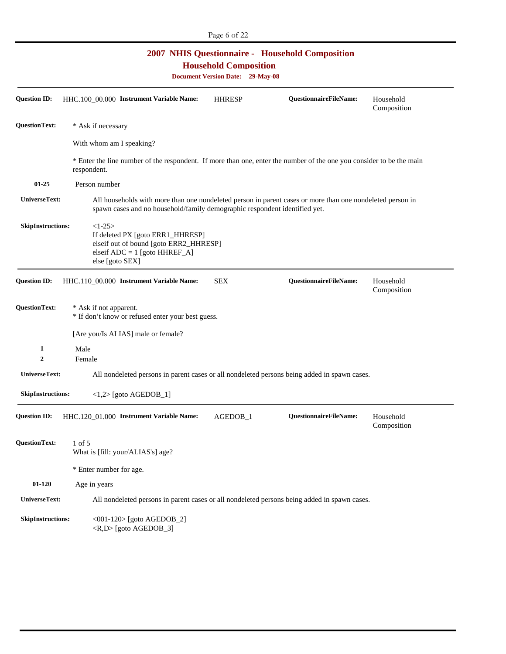| <b>2007 NHIS Questionnaire - Household Composition</b><br><b>Household Composition</b><br><b>Document Version Date: 29-May-08</b> |                                                                                                                                                                                         |               |                               |                          |  |
|-----------------------------------------------------------------------------------------------------------------------------------|-----------------------------------------------------------------------------------------------------------------------------------------------------------------------------------------|---------------|-------------------------------|--------------------------|--|
| <b>Question ID:</b>                                                                                                               | HHC.100_00.000 Instrument Variable Name:                                                                                                                                                | <b>HHRESP</b> | <b>QuestionnaireFileName:</b> | Household<br>Composition |  |
| <b>QuestionText:</b>                                                                                                              | * Ask if necessary                                                                                                                                                                      |               |                               |                          |  |
|                                                                                                                                   | With whom am I speaking?                                                                                                                                                                |               |                               |                          |  |
|                                                                                                                                   | * Enter the line number of the respondent. If more than one, enter the number of the one you consider to be the main<br>respondent.                                                     |               |                               |                          |  |
| $01 - 25$                                                                                                                         | Person number                                                                                                                                                                           |               |                               |                          |  |
| UniverseText:                                                                                                                     | All households with more than one nondeleted person in parent cases or more than one nondeleted person in<br>spawn cases and no household/family demographic respondent identified yet. |               |                               |                          |  |
| <b>SkipInstructions:</b>                                                                                                          | $<1-25>$<br>If deleted PX [goto ERR1_HHRESP]<br>elseif out of bound [goto ERR2_HHRESP]<br>elseif $ADC = 1$ [goto HHREF_A]<br>else [goto SEX]                                            |               |                               |                          |  |
| <b>Question ID:</b>                                                                                                               | HHC.110_00.000 Instrument Variable Name:                                                                                                                                                | <b>SEX</b>    | <b>QuestionnaireFileName:</b> | Household<br>Composition |  |
| <b>QuestionText:</b>                                                                                                              | * Ask if not apparent.<br>* If don't know or refused enter your best guess.                                                                                                             |               |                               |                          |  |
|                                                                                                                                   | [Are you/Is ALIAS] male or female?                                                                                                                                                      |               |                               |                          |  |
| 1<br>2                                                                                                                            | Male<br>Female                                                                                                                                                                          |               |                               |                          |  |
| UniverseText:                                                                                                                     | All nondeleted persons in parent cases or all nondeleted persons being added in spawn cases.                                                                                            |               |                               |                          |  |
| <b>SkipInstructions:</b>                                                                                                          | $\langle 1,2 \rangle$ [goto AGEDOB_1]                                                                                                                                                   |               |                               |                          |  |
| <b>Question ID:</b>                                                                                                               | HHC.120_01.000 Instrument Variable Name:                                                                                                                                                | AGEDOB_1      | <b>QuestionnaireFileName:</b> | Household<br>Composition |  |
| <b>QuestionText:</b>                                                                                                              | 1 of 5<br>What is [fill: your/ALIAS's] age?                                                                                                                                             |               |                               |                          |  |
|                                                                                                                                   | * Enter number for age.                                                                                                                                                                 |               |                               |                          |  |
| $01 - 120$                                                                                                                        | Age in years                                                                                                                                                                            |               |                               |                          |  |
| <b>UniverseText:</b>                                                                                                              | All nondeleted persons in parent cases or all nondeleted persons being added in spawn cases.                                                                                            |               |                               |                          |  |
| <b>SkipInstructions:</b>                                                                                                          | <001-120> [goto AGEDOB_2]<br><r,d> [goto AGEDOB_3]</r,d>                                                                                                                                |               |                               |                          |  |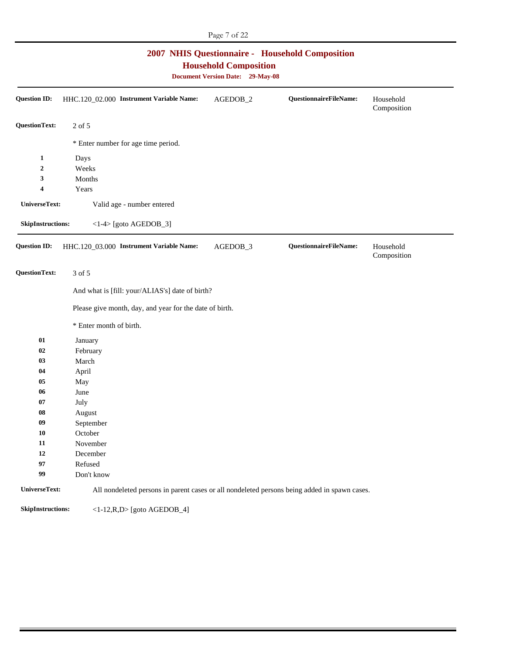| 2007 NHIS Questionnaire - Household Composition<br><b>Household Composition</b><br><b>Document Version Date: 29-May-08</b> |                                                                                              |          |                        |                          |
|----------------------------------------------------------------------------------------------------------------------------|----------------------------------------------------------------------------------------------|----------|------------------------|--------------------------|
| <b>Question ID:</b>                                                                                                        | HHC.120_02.000 Instrument Variable Name:                                                     | AGEDOB_2 | QuestionnaireFileName: | Household<br>Composition |
| <b>QuestionText:</b>                                                                                                       | 2 of 5                                                                                       |          |                        |                          |
|                                                                                                                            | * Enter number for age time period.                                                          |          |                        |                          |
| 1                                                                                                                          | Days                                                                                         |          |                        |                          |
| $\boldsymbol{2}$                                                                                                           | Weeks                                                                                        |          |                        |                          |
| 3                                                                                                                          | Months                                                                                       |          |                        |                          |
| 4                                                                                                                          | Years                                                                                        |          |                        |                          |
| <b>UniverseText:</b>                                                                                                       | Valid age - number entered                                                                   |          |                        |                          |
| SkipInstructions:                                                                                                          | $<1-4$ [goto AGEDOB_3]                                                                       |          |                        |                          |
| <b>Question ID:</b>                                                                                                        | HHC.120_03.000 Instrument Variable Name:                                                     | AGEDOB_3 | QuestionnaireFileName: | Household<br>Composition |
| <b>QuestionText:</b>                                                                                                       | 3 of 5                                                                                       |          |                        |                          |
|                                                                                                                            | And what is [fill: your/ALIAS's] date of birth?                                              |          |                        |                          |
|                                                                                                                            | Please give month, day, and year for the date of birth.                                      |          |                        |                          |
|                                                                                                                            | * Enter month of birth.                                                                      |          |                        |                          |
| 01                                                                                                                         | January                                                                                      |          |                        |                          |
| 02                                                                                                                         | February                                                                                     |          |                        |                          |
| 03                                                                                                                         | March                                                                                        |          |                        |                          |
| 04                                                                                                                         | April                                                                                        |          |                        |                          |
| 05                                                                                                                         | May                                                                                          |          |                        |                          |
| 06                                                                                                                         | June                                                                                         |          |                        |                          |
| 07                                                                                                                         | July                                                                                         |          |                        |                          |
| 08                                                                                                                         | August                                                                                       |          |                        |                          |
| 09                                                                                                                         | September                                                                                    |          |                        |                          |
| <b>10</b>                                                                                                                  | October                                                                                      |          |                        |                          |
| 11                                                                                                                         | November                                                                                     |          |                        |                          |
| 12                                                                                                                         | December                                                                                     |          |                        |                          |
| 97                                                                                                                         | Refused                                                                                      |          |                        |                          |
| 99                                                                                                                         | Don't know                                                                                   |          |                        |                          |
| UniverseText:                                                                                                              | All nondeleted persons in parent cases or all nondeleted persons being added in spawn cases. |          |                        |                          |
| SkipInstructions:                                                                                                          | $<1-12, R, D>$ [goto AGEDOB_4]                                                               |          |                        |                          |

Page 7 of 22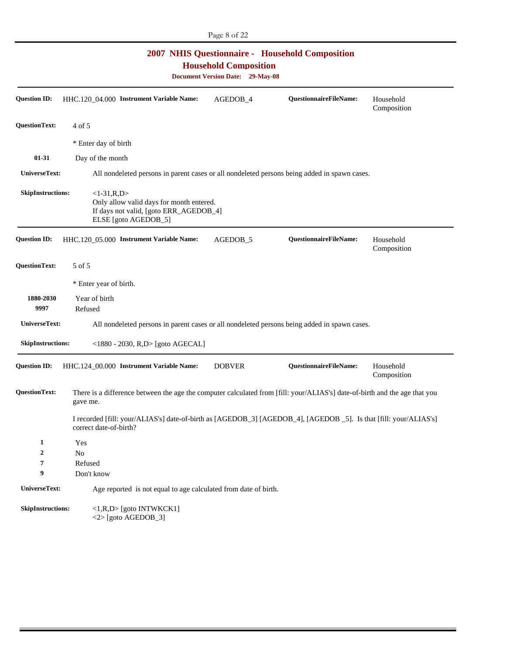| <b>2007 NHIS Questionnaire - Household Composition</b><br><b>Household Composition</b><br><b>Document Version Date: 29-May-08</b> |                                                                                                                                            |                               |                          |  |
|-----------------------------------------------------------------------------------------------------------------------------------|--------------------------------------------------------------------------------------------------------------------------------------------|-------------------------------|--------------------------|--|
| <b>Question ID:</b>                                                                                                               | HHC.120_04.000 Instrument Variable Name:<br>AGEDOB_4                                                                                       | <b>QuestionnaireFileName:</b> | Household<br>Composition |  |
| <b>QuestionText:</b>                                                                                                              | 4 of 5                                                                                                                                     |                               |                          |  |
|                                                                                                                                   | * Enter day of birth                                                                                                                       |                               |                          |  |
| $01-31$                                                                                                                           | Day of the month                                                                                                                           |                               |                          |  |
| UniverseText:                                                                                                                     | All nondeleted persons in parent cases or all nondeleted persons being added in spawn cases.                                               |                               |                          |  |
| <b>SkipInstructions:</b>                                                                                                          | $<1-31, R, D>$<br>Only allow valid days for month entered.<br>If days not valid, [goto ERR_AGEDOB_4]<br>ELSE [goto AGEDOB_5]               |                               |                          |  |
| <b>Question ID:</b>                                                                                                               | HHC.120_05.000 Instrument Variable Name:<br>AGEDOB <sub>5</sub>                                                                            | QuestionnaireFileName:        | Household<br>Composition |  |
| <b>QuestionText:</b>                                                                                                              | 5 of 5                                                                                                                                     |                               |                          |  |
|                                                                                                                                   | * Enter year of birth.                                                                                                                     |                               |                          |  |
| 1880-2030<br>9997                                                                                                                 | Year of birth<br>Refused                                                                                                                   |                               |                          |  |
| UniverseText:                                                                                                                     | All nondeleted persons in parent cases or all nondeleted persons being added in spawn cases.                                               |                               |                          |  |
| <b>SkipInstructions:</b>                                                                                                          | <1880 - 2030, R,D> [goto AGECAL]                                                                                                           |                               |                          |  |
| <b>Question ID:</b>                                                                                                               | HHC.124_00.000 Instrument Variable Name:<br><b>DOBVER</b>                                                                                  | QuestionnaireFileName:        | Household<br>Composition |  |
| <b>QuestionText:</b>                                                                                                              | There is a difference between the age the computer calculated from [fill: your/ALIAS's] date-of-birth and the age that you<br>gave me.     |                               |                          |  |
|                                                                                                                                   | I recorded [fill: your/ALIAS's] date-of-birth as [AGEDOB_3] [AGEDOB_4], [AGEDOB_5]. Is that [fill: your/ALIAS's]<br>correct date-of-birth? |                               |                          |  |
| $\mathbf{1}$                                                                                                                      | Yes                                                                                                                                        |                               |                          |  |
| 2                                                                                                                                 | No                                                                                                                                         |                               |                          |  |
| 7<br>9                                                                                                                            | Refused<br>Don't know                                                                                                                      |                               |                          |  |
| UniverseText:                                                                                                                     | Age reported is not equal to age calculated from date of birth.                                                                            |                               |                          |  |
|                                                                                                                                   |                                                                                                                                            |                               |                          |  |
| <b>SkipInstructions:</b>                                                                                                          | <1,R,D> [goto INTWKCK1]<br>$<$ 2> [goto AGEDOB_3]                                                                                          |                               |                          |  |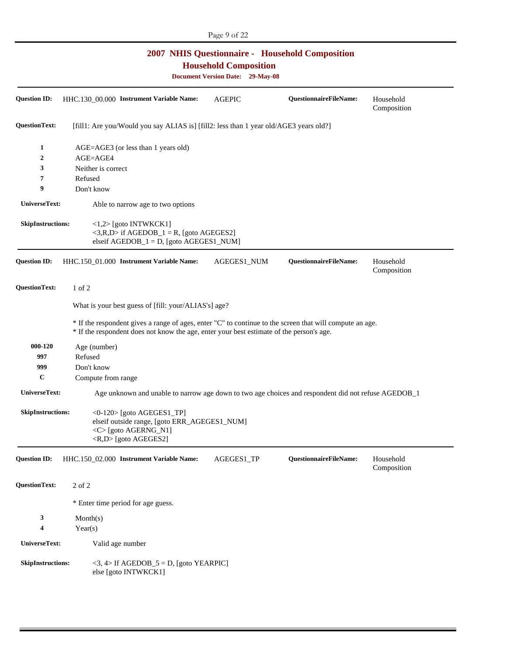| Page 9 of 22<br><b>2007 NHIS Questionnaire - Household Composition</b> |                                                                                                                                                                                                      |                                                                         |                               |                          |
|------------------------------------------------------------------------|------------------------------------------------------------------------------------------------------------------------------------------------------------------------------------------------------|-------------------------------------------------------------------------|-------------------------------|--------------------------|
|                                                                        |                                                                                                                                                                                                      | <b>Household Composition</b><br><b>Document Version Date: 29-May-08</b> |                               |                          |
| <b>Question ID:</b>                                                    | HHC.130_00.000 Instrument Variable Name:                                                                                                                                                             | <b>AGEPIC</b>                                                           | QuestionnaireFileName:        | Household<br>Composition |
| <b>QuestionText:</b>                                                   | [fill1: Are you/Would you say ALIAS is] [fill2: less than 1 year old/AGE3 years old?]                                                                                                                |                                                                         |                               |                          |
| 1<br>2                                                                 | AGE=AGE3 (or less than 1 years old)<br>AGE=AGE4                                                                                                                                                      |                                                                         |                               |                          |
| 3                                                                      | Neither is correct                                                                                                                                                                                   |                                                                         |                               |                          |
| 7                                                                      | Refused                                                                                                                                                                                              |                                                                         |                               |                          |
| 9                                                                      | Don't know                                                                                                                                                                                           |                                                                         |                               |                          |
| UniverseText:                                                          | Able to narrow age to two options                                                                                                                                                                    |                                                                         |                               |                          |
| <b>SkipInstructions:</b>                                               | $\langle 1,2 \rangle$ [goto INTWKCK1]<br>$\langle 3,R,D \rangle$ if AGEDOB_1 = R, [goto AGEGES2]<br>elseif $AGEDOB_1 = D$ , [goto $AGEGES1_NUM$ ]                                                    |                                                                         |                               |                          |
| <b>Question ID:</b>                                                    | HHC.150_01.000 Instrument Variable Name:                                                                                                                                                             | AGEGES1_NUM                                                             | QuestionnaireFileName:        | Household<br>Composition |
| QuestionText:                                                          | $1$ of $2$                                                                                                                                                                                           |                                                                         |                               |                          |
|                                                                        | What is your best guess of [fill: your/ALIAS's] age?                                                                                                                                                 |                                                                         |                               |                          |
|                                                                        | * If the respondent gives a range of ages, enter "C" to continue to the screen that will compute an age.<br>* If the respondent does not know the age, enter your best estimate of the person's age. |                                                                         |                               |                          |
| 000-120                                                                | Age (number)                                                                                                                                                                                         |                                                                         |                               |                          |
| 997                                                                    | Refused                                                                                                                                                                                              |                                                                         |                               |                          |
| 999                                                                    | Don't know                                                                                                                                                                                           |                                                                         |                               |                          |
| $\mathbf C$                                                            | Compute from range                                                                                                                                                                                   |                                                                         |                               |                          |
| UniverseText:                                                          | Age unknown and unable to narrow age down to two age choices and respondent did not refuse AGEDOB_1                                                                                                  |                                                                         |                               |                          |
| <b>SkipInstructions:</b>                                               | $\langle 0-120 \rangle$ [goto AGEGES1_TP]<br>elseif outside range, [goto ERR_AGEGES1_NUM]<br><c>[goto AGERNG_N1]<br/><r,d> [goto AGEGES2]</r,d></c>                                                  |                                                                         |                               |                          |
| <b>Question ID:</b>                                                    | HHC.150_02.000 Instrument Variable Name:                                                                                                                                                             | AGEGES1_TP                                                              | <b>QuestionnaireFileName:</b> | Household<br>Composition |
| <b>QuestionText:</b>                                                   | 2 of 2                                                                                                                                                                                               |                                                                         |                               |                          |
|                                                                        | * Enter time period for age guess.                                                                                                                                                                   |                                                                         |                               |                          |
| 3<br>4                                                                 | Month(s)<br>Year(s)                                                                                                                                                                                  |                                                                         |                               |                          |
| UniverseText:                                                          | Valid age number                                                                                                                                                                                     |                                                                         |                               |                          |
| <b>SkipInstructions:</b>                                               | $\langle 3, 4 \rangle$ If AGEDOB_5 = D, [goto YEARPIC]<br>else [goto INTWKCK1]                                                                                                                       |                                                                         |                               |                          |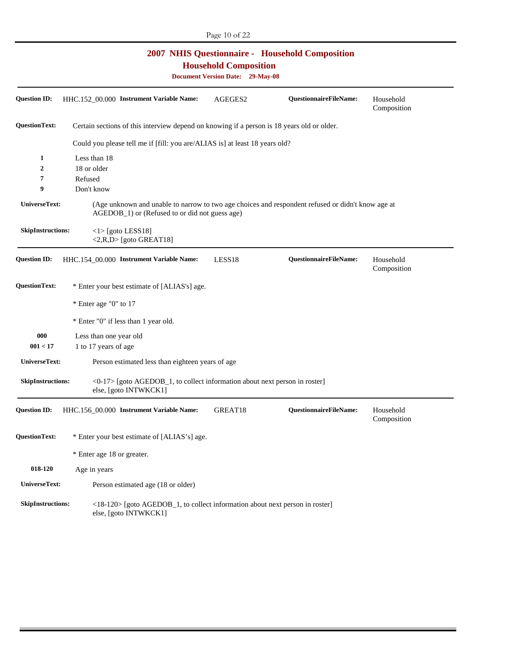| <b>2007 NHIS Questionnaire - Household Composition</b><br><b>Household Composition</b><br><b>Document Version Date: 29-May-08</b> |                                                                                                                                                                  |         |                               |                          |
|-----------------------------------------------------------------------------------------------------------------------------------|------------------------------------------------------------------------------------------------------------------------------------------------------------------|---------|-------------------------------|--------------------------|
| <b>Question ID:</b>                                                                                                               | HHC.152_00.000 Instrument Variable Name:                                                                                                                         | AGEGES2 | QuestionnaireFileName:        | Household<br>Composition |
| <b>QuestionText:</b>                                                                                                              | Certain sections of this interview depend on knowing if a person is 18 years old or older.                                                                       |         |                               |                          |
|                                                                                                                                   | Could you please tell me if [fill: you are/ALIAS is] at least 18 years old?                                                                                      |         |                               |                          |
| 1                                                                                                                                 | Less than 18                                                                                                                                                     |         |                               |                          |
| $\overline{2}$                                                                                                                    | 18 or older                                                                                                                                                      |         |                               |                          |
| 7                                                                                                                                 | Refused                                                                                                                                                          |         |                               |                          |
| 9                                                                                                                                 | Don't know                                                                                                                                                       |         |                               |                          |
| UniverseText:                                                                                                                     | (Age unknown and unable to narrow to two age choices and respondent refused or didn't know age at<br>AGEDOB <sub>_1</sub> ) or (Refused to or did not guess age) |         |                               |                          |
| <b>SkipInstructions:</b>                                                                                                          | $\langle$ 1> [goto LESS18]<br>$\langle 2,R,D \rangle$ [goto GREAT18]                                                                                             |         |                               |                          |
| <b>Question ID:</b>                                                                                                               | HHC.154_00.000 Instrument Variable Name:                                                                                                                         | LESS18  | QuestionnaireFileName:        | Household<br>Composition |
| <b>QuestionText:</b>                                                                                                              | * Enter your best estimate of [ALIAS's] age.                                                                                                                     |         |                               |                          |
|                                                                                                                                   | * Enter age "0" to 17                                                                                                                                            |         |                               |                          |
|                                                                                                                                   | * Enter "0" if less than 1 year old.                                                                                                                             |         |                               |                          |
| 000                                                                                                                               | Less than one year old                                                                                                                                           |         |                               |                          |
| 001 < 17                                                                                                                          | 1 to 17 years of age                                                                                                                                             |         |                               |                          |
| UniverseText:                                                                                                                     | Person estimated less than eighteen years of age                                                                                                                 |         |                               |                          |
| <b>SkipInstructions:</b>                                                                                                          | $\langle 0-17 \rangle$ [goto AGEDOB_1, to collect information about next person in roster]<br>else, [goto INTWKCK1]                                              |         |                               |                          |
|                                                                                                                                   | Question ID: HHC.156_00.000 Instrument Variable Name:                                                                                                            | GREAT18 | <b>QuestionnaireFileName:</b> | Household<br>Composition |
| <b>QuestionText:</b>                                                                                                              | * Enter your best estimate of [ALIAS's] age.                                                                                                                     |         |                               |                          |
|                                                                                                                                   | * Enter age 18 or greater.                                                                                                                                       |         |                               |                          |
| 018-120                                                                                                                           | Age in years                                                                                                                                                     |         |                               |                          |
| UniverseText:                                                                                                                     | Person estimated age (18 or older)                                                                                                                               |         |                               |                          |
| <b>SkipInstructions:</b>                                                                                                          | <18-120> [goto AGEDOB_1, to collect information about next person in roster]<br>else, [goto INTWKCK1]                                                            |         |                               |                          |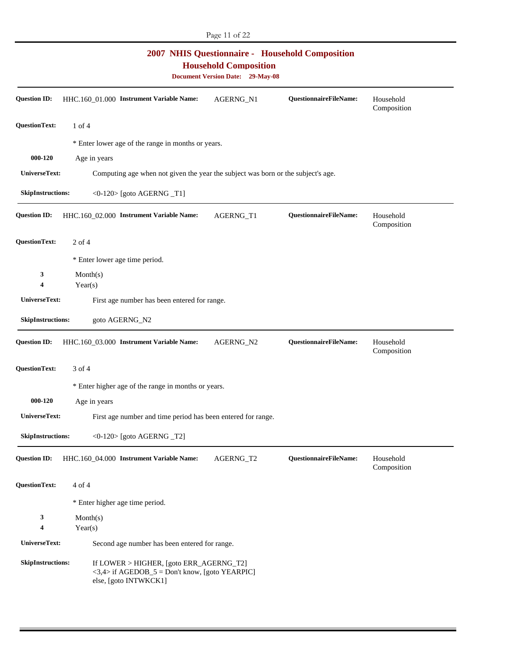| <b>2007 NHIS Questionnaire - Household Composition</b><br><b>Household Composition</b><br><b>Document Version Date: 29-May-08</b> |                                                                                                                                    |           |                        |                          |
|-----------------------------------------------------------------------------------------------------------------------------------|------------------------------------------------------------------------------------------------------------------------------------|-----------|------------------------|--------------------------|
| <b>Question ID:</b>                                                                                                               | HHC.160_01.000 Instrument Variable Name:                                                                                           | AGERNG_N1 | QuestionnaireFileName: | Household<br>Composition |
| <b>QuestionText:</b>                                                                                                              | $1$ of $4$                                                                                                                         |           |                        |                          |
|                                                                                                                                   | * Enter lower age of the range in months or years.                                                                                 |           |                        |                          |
| 000-120                                                                                                                           | Age in years                                                                                                                       |           |                        |                          |
| UniverseText:                                                                                                                     | Computing age when not given the year the subject was born or the subject's age.                                                   |           |                        |                          |
| <b>SkipInstructions:</b>                                                                                                          | <0-120> [goto AGERNG _T1]                                                                                                          |           |                        |                          |
| <b>Question ID:</b>                                                                                                               | HHC.160_02.000 Instrument Variable Name:                                                                                           | AGERNG_T1 | QuestionnaireFileName: | Household<br>Composition |
| <b>QuestionText:</b>                                                                                                              | $2$ of 4                                                                                                                           |           |                        |                          |
|                                                                                                                                   | * Enter lower age time period.                                                                                                     |           |                        |                          |
| 3<br>4                                                                                                                            | Month(s)<br>Year(s)                                                                                                                |           |                        |                          |
| UniverseText:                                                                                                                     | First age number has been entered for range.                                                                                       |           |                        |                          |
| <b>SkipInstructions:</b>                                                                                                          | goto AGERNG_N2                                                                                                                     |           |                        |                          |
| <b>Question ID:</b>                                                                                                               | HHC.160_03.000 Instrument Variable Name:                                                                                           | AGERNG_N2 | QuestionnaireFileName: | Household<br>Composition |
| <b>QuestionText:</b>                                                                                                              | 3 of 4                                                                                                                             |           |                        |                          |
|                                                                                                                                   | * Enter higher age of the range in months or years.                                                                                |           |                        |                          |
| 000-120                                                                                                                           | Age in years                                                                                                                       |           |                        |                          |
| UniverseText:                                                                                                                     | First age number and time period has been entered for range.                                                                       |           |                        |                          |
| SkipInstructions:                                                                                                                 | $<0-120$ [goto AGERNG $_T2$ ]                                                                                                      |           |                        |                          |
| <b>Question ID:</b>                                                                                                               | HHC.160_04.000 Instrument Variable Name:                                                                                           | AGERNG_T2 | QuestionnaireFileName: | Household<br>Composition |
| <b>QuestionText:</b>                                                                                                              | 4 of 4                                                                                                                             |           |                        |                          |
|                                                                                                                                   | * Enter higher age time period.                                                                                                    |           |                        |                          |
| 3<br>4                                                                                                                            | Month(s)<br>Year(s)                                                                                                                |           |                        |                          |
| UniverseText:                                                                                                                     | Second age number has been entered for range.                                                                                      |           |                        |                          |
| <b>SkipInstructions:</b>                                                                                                          | If LOWER > HIGHER, [goto ERR_AGERNG_T2]<br>$\langle 3,4 \rangle$ if AGEDOB_5 = Don't know, [goto YEARPIC]<br>else, [goto INTWKCK1] |           |                        |                          |

Page 11 of 22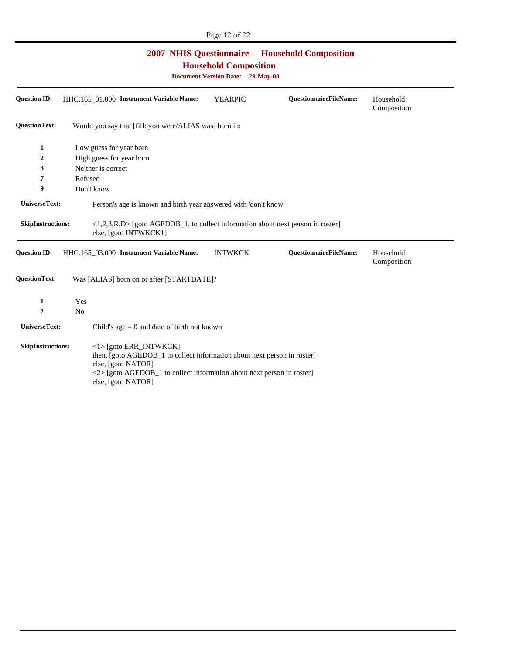| <b>2007 NHIS Questionnaire - Household Composition</b><br><b>Household Composition</b><br><b>Document Version Date: 29-May-08</b> |                                                                                                                                                                                                             |                |                               |                          |
|-----------------------------------------------------------------------------------------------------------------------------------|-------------------------------------------------------------------------------------------------------------------------------------------------------------------------------------------------------------|----------------|-------------------------------|--------------------------|
| <b>Question ID:</b>                                                                                                               | HHC.165 01.000 Instrument Variable Name:                                                                                                                                                                    | <b>YEARPIC</b> | <b>QuestionnaireFileName:</b> | Household<br>Composition |
| <b>QuestionText:</b>                                                                                                              | Would you say that [fill: you were/ALIAS was] born in:                                                                                                                                                      |                |                               |                          |
| 1                                                                                                                                 | Low guess for year born                                                                                                                                                                                     |                |                               |                          |
| 2                                                                                                                                 | High guess for year born                                                                                                                                                                                    |                |                               |                          |
| 3                                                                                                                                 | Neither is correct                                                                                                                                                                                          |                |                               |                          |
| 7                                                                                                                                 | Refused                                                                                                                                                                                                     |                |                               |                          |
| 9                                                                                                                                 | Don't know                                                                                                                                                                                                  |                |                               |                          |
| UniverseText:                                                                                                                     | Person's age is known and birth year answered with 'don't know'                                                                                                                                             |                |                               |                          |
| <b>SkipInstructions:</b>                                                                                                          | $\langle 1,2,3,R,D \rangle$ [goto AGEDOB_1, to collect information about next person in roster]<br>else, [goto INTWKCK1]                                                                                    |                |                               |                          |
| <b>Question ID:</b>                                                                                                               | HHC.165_03.000 Instrument Variable Name:                                                                                                                                                                    | <b>INTWKCK</b> | <b>QuestionnaireFileName:</b> | Household<br>Composition |
| <b>QuestionText:</b>                                                                                                              | Was [ALIAS] born on or after [STARTDATE]?                                                                                                                                                                   |                |                               |                          |
| 1                                                                                                                                 | Yes                                                                                                                                                                                                         |                |                               |                          |
| 2                                                                                                                                 | N <sub>0</sub>                                                                                                                                                                                              |                |                               |                          |
| UniverseText:                                                                                                                     | Child's age $= 0$ and date of birth not known                                                                                                                                                               |                |                               |                          |
| <b>SkipInstructions:</b>                                                                                                          | $\langle$ 1> [goto ERR_INTWKCK]<br>then, [goto AGEDOB_1 to collect information about next person in roster]<br>else, [goto NATOR]<br><2> [goto AGEDOB_1 to collect information about next person in roster] |                |                               |                          |

else, [goto NATOR]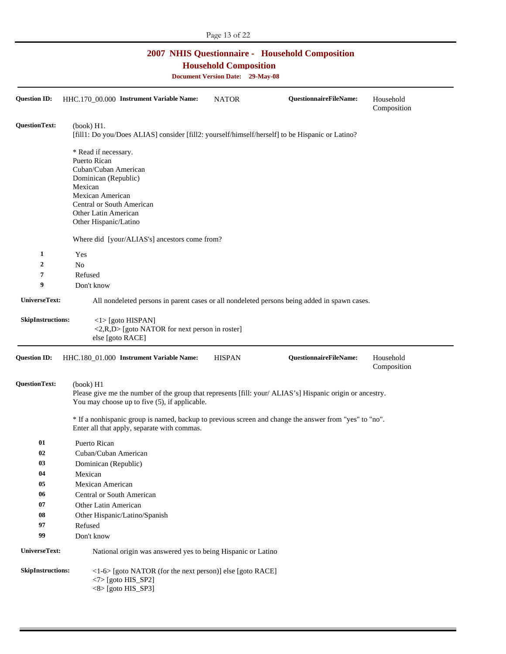| <b>2007 NHIS Questionnaire - Household Composition</b><br><b>Household Composition</b><br><b>Document Version Date: 29-May-08</b> |                                                                                                                                                       |                                                                                                                                                            |                               |                          |  |  |  |  |
|-----------------------------------------------------------------------------------------------------------------------------------|-------------------------------------------------------------------------------------------------------------------------------------------------------|------------------------------------------------------------------------------------------------------------------------------------------------------------|-------------------------------|--------------------------|--|--|--|--|
| <b>Question ID:</b>                                                                                                               | HHC.170_00.000 Instrument Variable Name:                                                                                                              | <b>NATOR</b>                                                                                                                                               | <b>QuestionnaireFileName:</b> | Household<br>Composition |  |  |  |  |
| <b>QuestionText:</b>                                                                                                              | (book) H1.<br>[fill1: Do you/Does ALIAS] consider [fill2: yourself/himself/herself] to be Hispanic or Latino?                                         |                                                                                                                                                            |                               |                          |  |  |  |  |
|                                                                                                                                   | * Read if necessary.<br>Puerto Rican                                                                                                                  |                                                                                                                                                            |                               |                          |  |  |  |  |
|                                                                                                                                   | Cuban/Cuban American                                                                                                                                  |                                                                                                                                                            |                               |                          |  |  |  |  |
|                                                                                                                                   | Dominican (Republic)                                                                                                                                  |                                                                                                                                                            |                               |                          |  |  |  |  |
|                                                                                                                                   | Mexican<br>Mexican American                                                                                                                           |                                                                                                                                                            |                               |                          |  |  |  |  |
|                                                                                                                                   | Central or South American                                                                                                                             |                                                                                                                                                            |                               |                          |  |  |  |  |
|                                                                                                                                   | Other Latin American                                                                                                                                  |                                                                                                                                                            |                               |                          |  |  |  |  |
|                                                                                                                                   | Other Hispanic/Latino                                                                                                                                 |                                                                                                                                                            |                               |                          |  |  |  |  |
|                                                                                                                                   | Where did [your/ALIAS's] ancestors come from?                                                                                                         |                                                                                                                                                            |                               |                          |  |  |  |  |
| $\mathbf{1}$                                                                                                                      | Yes                                                                                                                                                   |                                                                                                                                                            |                               |                          |  |  |  |  |
| $\mathbf{2}$                                                                                                                      | N <sub>o</sub>                                                                                                                                        |                                                                                                                                                            |                               |                          |  |  |  |  |
| 7                                                                                                                                 | Refused                                                                                                                                               |                                                                                                                                                            |                               |                          |  |  |  |  |
| 9                                                                                                                                 | Don't know                                                                                                                                            |                                                                                                                                                            |                               |                          |  |  |  |  |
| UniverseText:                                                                                                                     | All nondeleted persons in parent cases or all nondeleted persons being added in spawn cases.                                                          |                                                                                                                                                            |                               |                          |  |  |  |  |
| <b>SkipInstructions:</b>                                                                                                          | $\langle$ 1> [goto HISPAN]<br><2,R,D> [goto NATOR for next person in roster]<br>else [goto RACE]                                                      |                                                                                                                                                            |                               |                          |  |  |  |  |
| <b>Question ID:</b>                                                                                                               | HHC.180_01.000 Instrument Variable Name:                                                                                                              | <b>HISPAN</b>                                                                                                                                              | QuestionnaireFileName:        | Household<br>Composition |  |  |  |  |
| QuestionText:                                                                                                                     | (book) H1                                                                                                                                             | Please give me the number of the group that represents [fill: your/ ALIAS's] Hispanic origin or ancestry.<br>You may choose up to five (5), if applicable. |                               |                          |  |  |  |  |
|                                                                                                                                   | * If a nonhispanic group is named, backup to previous screen and change the answer from "yes" to "no".<br>Enter all that apply, separate with commas. |                                                                                                                                                            |                               |                          |  |  |  |  |
| 01                                                                                                                                | Puerto Rican                                                                                                                                          |                                                                                                                                                            |                               |                          |  |  |  |  |
| 02                                                                                                                                | Cuban/Cuban American                                                                                                                                  |                                                                                                                                                            |                               |                          |  |  |  |  |
| 03                                                                                                                                | Dominican (Republic)                                                                                                                                  |                                                                                                                                                            |                               |                          |  |  |  |  |
| 04                                                                                                                                | Mexican                                                                                                                                               |                                                                                                                                                            |                               |                          |  |  |  |  |
| 05                                                                                                                                | Mexican American                                                                                                                                      |                                                                                                                                                            |                               |                          |  |  |  |  |
| 06                                                                                                                                | Central or South American                                                                                                                             |                                                                                                                                                            |                               |                          |  |  |  |  |
| 07                                                                                                                                | Other Latin American                                                                                                                                  |                                                                                                                                                            |                               |                          |  |  |  |  |
| 08                                                                                                                                | Other Hispanic/Latino/Spanish                                                                                                                         |                                                                                                                                                            |                               |                          |  |  |  |  |
| 97<br>99                                                                                                                          | Refused                                                                                                                                               |                                                                                                                                                            |                               |                          |  |  |  |  |
|                                                                                                                                   | Don't know                                                                                                                                            |                                                                                                                                                            |                               |                          |  |  |  |  |
| UniverseText:                                                                                                                     | National origin was answered yes to being Hispanic or Latino                                                                                          |                                                                                                                                                            |                               |                          |  |  |  |  |
| <b>SkipInstructions:</b>                                                                                                          | <1-6> [goto NATOR (for the next person)] else [goto RACE]<br>$\langle 7 \rangle$ [goto HIS_SP2]<br>$<8$ [goto HIS_SP3]                                |                                                                                                                                                            |                               |                          |  |  |  |  |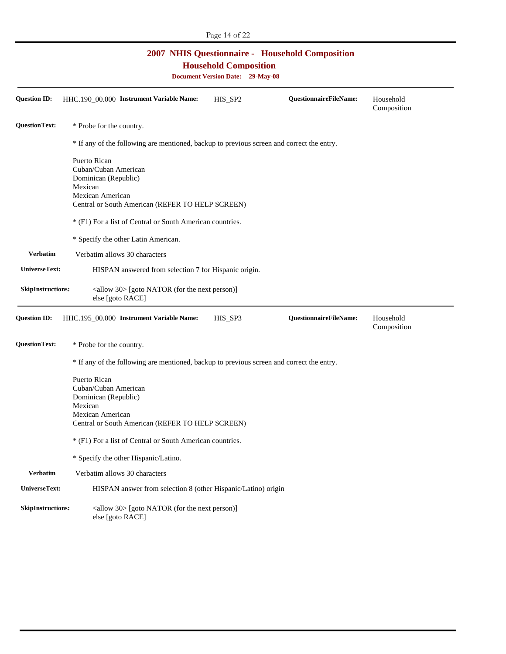|                          | <b>2007 NHIS Questionnaire - Household Composition</b><br><b>Household Composition</b><br><b>Document Version Date: 29-May-08</b>                                                                            |         |                               |                          |  |  |
|--------------------------|--------------------------------------------------------------------------------------------------------------------------------------------------------------------------------------------------------------|---------|-------------------------------|--------------------------|--|--|
| <b>Question ID:</b>      | HHC.190_00.000 Instrument Variable Name:                                                                                                                                                                     | HIS_SP2 | <b>QuestionnaireFileName:</b> | Household<br>Composition |  |  |
| QuestionText:            | * Probe for the country.                                                                                                                                                                                     |         |                               |                          |  |  |
|                          | * If any of the following are mentioned, backup to previous screen and correct the entry.                                                                                                                    |         |                               |                          |  |  |
|                          | Puerto Rican<br>Cuban/Cuban American<br>Dominican (Republic)<br>Mexican<br>Mexican American<br>Central or South American (REFER TO HELP SCREEN)<br>* (F1) For a list of Central or South American countries. |         |                               |                          |  |  |
| <b>Verbatim</b>          | * Specify the other Latin American.                                                                                                                                                                          |         |                               |                          |  |  |
|                          | Verbatim allows 30 characters                                                                                                                                                                                |         |                               |                          |  |  |
| UniverseText:            | HISPAN answered from selection 7 for Hispanic origin.                                                                                                                                                        |         |                               |                          |  |  |
| <b>SkipInstructions:</b> | $\langle$ allow 30> [goto NATOR (for the next person)]<br>else [goto RACE]                                                                                                                                   |         |                               |                          |  |  |
| Question ID:             | HHC.195_00.000 Instrument Variable Name:                                                                                                                                                                     | HIS_SP3 | <b>QuestionnaireFileName:</b> | Household<br>Composition |  |  |
| QuestionText:            | * Probe for the country.                                                                                                                                                                                     |         |                               |                          |  |  |
|                          | * If any of the following are mentioned, backup to previous screen and correct the entry.                                                                                                                    |         |                               |                          |  |  |
|                          | Puerto Rican<br>Cuban/Cuban American<br>Dominican (Republic)<br>Mexican<br>Mexican American<br>Central or South American (REFER TO HELP SCREEN)                                                              |         |                               |                          |  |  |
|                          | * (F1) For a list of Central or South American countries.                                                                                                                                                    |         |                               |                          |  |  |
|                          | * Specify the other Hispanic/Latino.                                                                                                                                                                         |         |                               |                          |  |  |
| <b>Verbatim</b>          | Verbatim allows 30 characters                                                                                                                                                                                |         |                               |                          |  |  |
| UniverseText:            | HISPAN answer from selection 8 (other Hispanic/Latino) origin                                                                                                                                                |         |                               |                          |  |  |
| <b>SkipInstructions:</b> | $\langle$ allow 30> [goto NATOR (for the next person)]<br>else [goto RACE]                                                                                                                                   |         |                               |                          |  |  |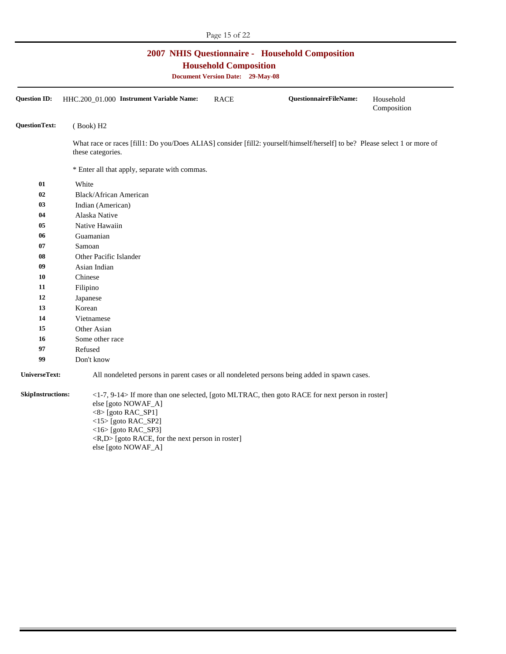| <b>2007 NHIS Questionnaire - Household Composition</b><br><b>Household Composition</b><br><b>Document Version Date: 29-May-08</b> |                                                                                                                                                                                                                                                                                                          |  |  |  |  |
|-----------------------------------------------------------------------------------------------------------------------------------|----------------------------------------------------------------------------------------------------------------------------------------------------------------------------------------------------------------------------------------------------------------------------------------------------------|--|--|--|--|
| <b>Question ID:</b>                                                                                                               | HHC.200_01.000 Instrument Variable Name:<br>QuestionnaireFileName:<br><b>RACE</b><br>Household<br>Composition                                                                                                                                                                                            |  |  |  |  |
| <b>QuestionText:</b>                                                                                                              | (Book) H2                                                                                                                                                                                                                                                                                                |  |  |  |  |
|                                                                                                                                   | What race or races [fill1: Do you/Does ALIAS] consider [fill2: yourself/himself/herself] to be? Please select 1 or more of<br>these categories.                                                                                                                                                          |  |  |  |  |
|                                                                                                                                   | * Enter all that apply, separate with commas.                                                                                                                                                                                                                                                            |  |  |  |  |
| 01                                                                                                                                | White                                                                                                                                                                                                                                                                                                    |  |  |  |  |
| 02                                                                                                                                | Black/African American                                                                                                                                                                                                                                                                                   |  |  |  |  |
| 03                                                                                                                                | Indian (American)                                                                                                                                                                                                                                                                                        |  |  |  |  |
| 04                                                                                                                                | Alaska Native                                                                                                                                                                                                                                                                                            |  |  |  |  |
| 05                                                                                                                                | Native Hawaiin                                                                                                                                                                                                                                                                                           |  |  |  |  |
| 06                                                                                                                                | Guamanian                                                                                                                                                                                                                                                                                                |  |  |  |  |
| 07                                                                                                                                | Samoan                                                                                                                                                                                                                                                                                                   |  |  |  |  |
| 08                                                                                                                                | Other Pacific Islander                                                                                                                                                                                                                                                                                   |  |  |  |  |
| 09                                                                                                                                | Asian Indian                                                                                                                                                                                                                                                                                             |  |  |  |  |
| 10                                                                                                                                | Chinese                                                                                                                                                                                                                                                                                                  |  |  |  |  |
| 11                                                                                                                                | Filipino                                                                                                                                                                                                                                                                                                 |  |  |  |  |
| 12                                                                                                                                | Japanese                                                                                                                                                                                                                                                                                                 |  |  |  |  |
| 13                                                                                                                                | Korean                                                                                                                                                                                                                                                                                                   |  |  |  |  |
| 14                                                                                                                                | Vietnamese                                                                                                                                                                                                                                                                                               |  |  |  |  |
| 15                                                                                                                                | Other Asian                                                                                                                                                                                                                                                                                              |  |  |  |  |
| 16                                                                                                                                | Some other race                                                                                                                                                                                                                                                                                          |  |  |  |  |
| 97                                                                                                                                | Refused                                                                                                                                                                                                                                                                                                  |  |  |  |  |
| 99                                                                                                                                | Don't know                                                                                                                                                                                                                                                                                               |  |  |  |  |
| UniverseText:                                                                                                                     | All nondeleted persons in parent cases or all nondeleted persons being added in spawn cases.                                                                                                                                                                                                             |  |  |  |  |
| <b>SkipInstructions:</b>                                                                                                          | $\langle$ 1-7, 9-14> If more than one selected, [goto MLTRAC, then goto RACE for next person in roster]<br>else [goto NOWAF_A]<br>$<8$ [goto RAC_SP1]<br><15> [goto RAC_SP2]<br>$\langle$ 16> [goto RAC_SP3]<br>$\langle R, D \rangle$ [goto RACE, for the next person in roster]<br>else [goto NOWAF_A] |  |  |  |  |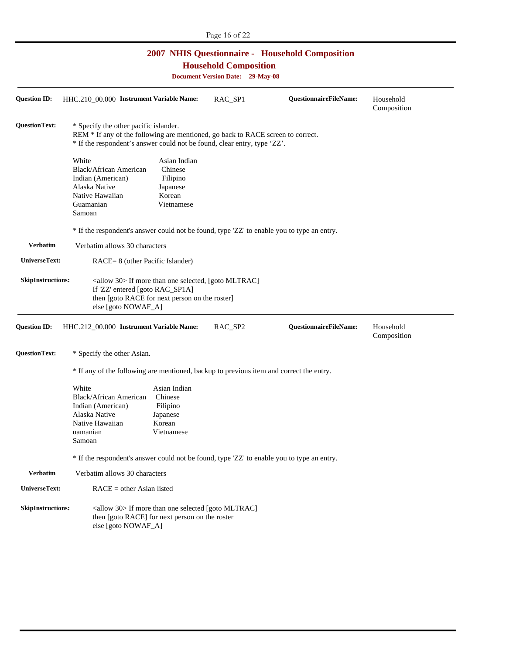|                                                                                                                                   |                                                                                                                                                                                                                            |                                                                         | Page 16 of 22 |                        |                          |  |
|-----------------------------------------------------------------------------------------------------------------------------------|----------------------------------------------------------------------------------------------------------------------------------------------------------------------------------------------------------------------------|-------------------------------------------------------------------------|---------------|------------------------|--------------------------|--|
| <b>2007 NHIS Questionnaire - Household Composition</b><br><b>Household Composition</b><br><b>Document Version Date: 29-May-08</b> |                                                                                                                                                                                                                            |                                                                         |               |                        |                          |  |
| <b>Question ID:</b>                                                                                                               | HHC.210_00.000 Instrument Variable Name:                                                                                                                                                                                   |                                                                         | RAC_SP1       | QuestionnaireFileName: | Household<br>Composition |  |
| <b>QuestionText:</b>                                                                                                              | * Specify the other pacific islander.<br>REM * If any of the following are mentioned, go back to RACE screen to correct.<br>* If the respondent's answer could not be found, clear entry, type 'ZZ'.                       |                                                                         |               |                        |                          |  |
|                                                                                                                                   | White<br>Black/African American<br>Indian (American)<br>Alaska Native<br>Native Hawaiian<br>Guamanian<br>Samoan                                                                                                            | Asian Indian<br>Chinese<br>Filipino<br>Japanese<br>Korean<br>Vietnamese |               |                        |                          |  |
|                                                                                                                                   | * If the respondent's answer could not be found, type 'ZZ' to enable you to type an entry.                                                                                                                                 |                                                                         |               |                        |                          |  |
| <b>Verbatim</b>                                                                                                                   | Verbatim allows 30 characters                                                                                                                                                                                              |                                                                         |               |                        |                          |  |
| UniverseText:                                                                                                                     | RACE= 8 (other Pacific Islander)                                                                                                                                                                                           |                                                                         |               |                        |                          |  |
| <b>SkipInstructions:</b><br><b>Question ID:</b>                                                                                   | <allow 30=""> If more than one selected, [goto MLTRAC]<br/>If 'ZZ' entered [goto RAC_SP1A]<br/>then [goto RACE for next person on the roster]<br/>else [goto NOWAF_A]<br/>HHC.212_00.000 Instrument Variable Name:</allow> |                                                                         | RAC_SP2       | QuestionnaireFileName: | Household<br>Composition |  |
| <b>QuestionText:</b>                                                                                                              | * Specify the other Asian.                                                                                                                                                                                                 |                                                                         |               |                        |                          |  |
|                                                                                                                                   | * If any of the following are mentioned, backup to previous item and correct the entry.                                                                                                                                    |                                                                         |               |                        |                          |  |
|                                                                                                                                   | White<br>Black/African American<br>Indian (American)<br>Alaska Native<br>Native Hawaiian<br>uamanian<br>Samoan                                                                                                             | Asian Indian<br>Chinese<br>Filipino<br>Japanese<br>Korean<br>Vietnamese |               |                        |                          |  |
|                                                                                                                                   | * If the respondent's answer could not be found, type 'ZZ' to enable you to type an entry.                                                                                                                                 |                                                                         |               |                        |                          |  |
| <b>Verbatim</b>                                                                                                                   | Verbatim allows 30 characters                                                                                                                                                                                              |                                                                         |               |                        |                          |  |
| UniverseText:                                                                                                                     | $RACE = other Asian listed$                                                                                                                                                                                                |                                                                         |               |                        |                          |  |
| <b>SkipInstructions:</b>                                                                                                          | <allow 30=""> If more than one selected [goto MLTRAC]<br/>then [goto RACE] for next person on the roster<br/>else [goto NOWAF_A]</allow>                                                                                   |                                                                         |               |                        |                          |  |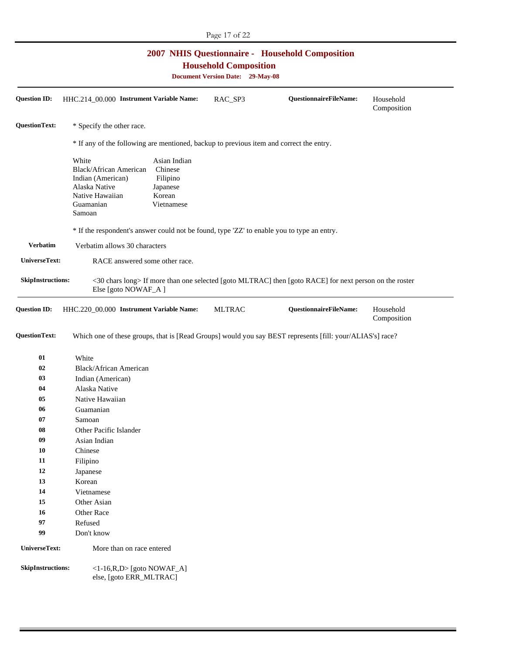| Page 17 of 22            |                                                                                                                                   |                                                                         |               |                                                                                                           |                          |
|--------------------------|-----------------------------------------------------------------------------------------------------------------------------------|-------------------------------------------------------------------------|---------------|-----------------------------------------------------------------------------------------------------------|--------------------------|
|                          | <b>2007 NHIS Questionnaire - Household Composition</b><br><b>Household Composition</b><br><b>Document Version Date: 29-May-08</b> |                                                                         |               |                                                                                                           |                          |
| <b>Question ID:</b>      | HHC.214_00.000 Instrument Variable Name:                                                                                          |                                                                         | RAC_SP3       | QuestionnaireFileName:                                                                                    | Household<br>Composition |
| <b>QuestionText:</b>     | * Specify the other race.                                                                                                         |                                                                         |               |                                                                                                           |                          |
|                          | * If any of the following are mentioned, backup to previous item and correct the entry.                                           |                                                                         |               |                                                                                                           |                          |
|                          | White<br>Black/African American<br>Indian (American)<br>Alaska Native<br>Native Hawaiian<br>Guamanian<br>Samoan                   | Asian Indian<br>Chinese<br>Filipino<br>Japanese<br>Korean<br>Vietnamese |               |                                                                                                           |                          |
|                          | * If the respondent's answer could not be found, type 'ZZ' to enable you to type an entry.                                        |                                                                         |               |                                                                                                           |                          |
| <b>Verbatim</b>          | Verbatim allows 30 characters                                                                                                     |                                                                         |               |                                                                                                           |                          |
| UniverseText:            | RACE answered some other race.                                                                                                    |                                                                         |               |                                                                                                           |                          |
| <b>SkipInstructions:</b> | Else [goto NOWAF_A ]                                                                                                              |                                                                         |               | <30 chars long> If more than one selected [goto MLTRAC] then [goto RACE] for next person on the roster    |                          |
| <b>Question ID:</b>      | HHC.220_00.000 Instrument Variable Name:                                                                                          |                                                                         | <b>MLTRAC</b> | QuestionnaireFileName:                                                                                    | Household<br>Composition |
| <b>QuestionText:</b>     |                                                                                                                                   |                                                                         |               | Which one of these groups, that is [Read Groups] would you say BEST represents [fill: your/ALIAS's] race? |                          |
| 01                       | White                                                                                                                             |                                                                         |               |                                                                                                           |                          |
| 02                       | Black/African American                                                                                                            |                                                                         |               |                                                                                                           |                          |
| 03                       | Indian (American)                                                                                                                 |                                                                         |               |                                                                                                           |                          |
| 04                       | Alaska Native                                                                                                                     |                                                                         |               |                                                                                                           |                          |
| 05                       | Native Hawaiian                                                                                                                   |                                                                         |               |                                                                                                           |                          |
| 06                       | Guamanian                                                                                                                         |                                                                         |               |                                                                                                           |                          |
| 07                       | Samoan                                                                                                                            |                                                                         |               |                                                                                                           |                          |
| 08                       | Other Pacific Islander                                                                                                            |                                                                         |               |                                                                                                           |                          |
| 09                       | Asian Indian                                                                                                                      |                                                                         |               |                                                                                                           |                          |
| 10                       | Chinese                                                                                                                           |                                                                         |               |                                                                                                           |                          |
| 11                       | Filipino                                                                                                                          |                                                                         |               |                                                                                                           |                          |
| 12                       | Japanese                                                                                                                          |                                                                         |               |                                                                                                           |                          |
| 13                       | Korean                                                                                                                            |                                                                         |               |                                                                                                           |                          |
| 14                       | Vietnamese                                                                                                                        |                                                                         |               |                                                                                                           |                          |
| 15                       | Other Asian                                                                                                                       |                                                                         |               |                                                                                                           |                          |
| 16                       | Other Race                                                                                                                        |                                                                         |               |                                                                                                           |                          |
| 97                       | Refused                                                                                                                           |                                                                         |               |                                                                                                           |                          |
| 99                       | Don't know                                                                                                                        |                                                                         |               |                                                                                                           |                          |
| UniverseText:            | More than on race entered                                                                                                         |                                                                         |               |                                                                                                           |                          |
| <b>SkipInstructions:</b> | $<1-16$ , R, D> [goto NOWAF_A]<br>else, [goto ERR_MLTRAC]                                                                         |                                                                         |               |                                                                                                           |                          |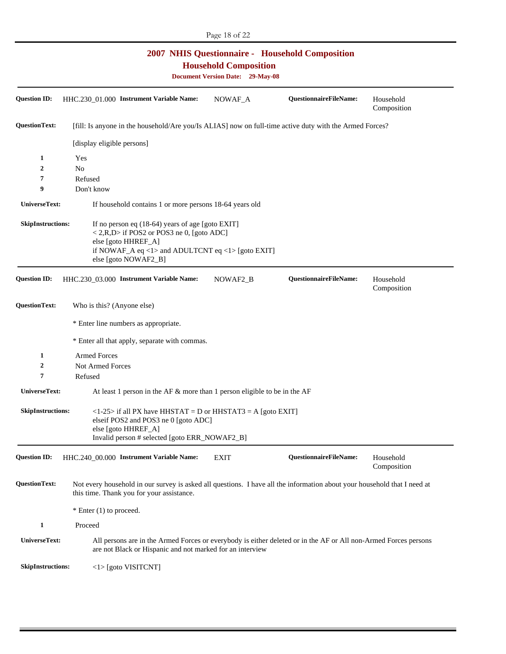|                                                                                                                                   |                                                                                                                                                                                                                    | Page 18 of 22 |                        |                          |  |  |
|-----------------------------------------------------------------------------------------------------------------------------------|--------------------------------------------------------------------------------------------------------------------------------------------------------------------------------------------------------------------|---------------|------------------------|--------------------------|--|--|
| <b>2007 NHIS Questionnaire - Household Composition</b><br><b>Household Composition</b><br><b>Document Version Date: 29-May-08</b> |                                                                                                                                                                                                                    |               |                        |                          |  |  |
| <b>Question ID:</b>                                                                                                               | HHC.230_01.000 Instrument Variable Name:                                                                                                                                                                           | NOWAF_A       | QuestionnaireFileName: | Household<br>Composition |  |  |
| <b>QuestionText:</b>                                                                                                              | [fill: Is anyone in the household/Are you/Is ALIAS] now on full-time active duty with the Armed Forces?                                                                                                            |               |                        |                          |  |  |
|                                                                                                                                   | [display eligible persons]                                                                                                                                                                                         |               |                        |                          |  |  |
| 1                                                                                                                                 | Yes                                                                                                                                                                                                                |               |                        |                          |  |  |
| 2                                                                                                                                 | N <sub>o</sub>                                                                                                                                                                                                     |               |                        |                          |  |  |
| 7                                                                                                                                 | Refused                                                                                                                                                                                                            |               |                        |                          |  |  |
| 9                                                                                                                                 | Don't know                                                                                                                                                                                                         |               |                        |                          |  |  |
| <b>UniverseText:</b>                                                                                                              | If household contains 1 or more persons 18-64 years old                                                                                                                                                            |               |                        |                          |  |  |
| <b>SkipInstructions:</b>                                                                                                          | If no person eq $(18-64)$ years of age [goto EXIT]<br>$\langle 2,R,D \rangle$ if POS2 or POS3 ne 0, [goto ADC]<br>else [goto HHREF_A]<br>if NOWAF_A eq <1> and ADULTCNT eq <1> [goto EXIT]<br>else [goto NOWAF2_B] |               |                        |                          |  |  |
| <b>Question ID:</b>                                                                                                               | HHC.230_03.000 Instrument Variable Name:                                                                                                                                                                           | NOWAF2_B      | QuestionnaireFileName: | Household<br>Composition |  |  |
| <b>QuestionText:</b>                                                                                                              | Who is this? (Anyone else)                                                                                                                                                                                         |               |                        |                          |  |  |
|                                                                                                                                   | * Enter line numbers as appropriate.                                                                                                                                                                               |               |                        |                          |  |  |
|                                                                                                                                   | * Enter all that apply, separate with commas.                                                                                                                                                                      |               |                        |                          |  |  |
| 1                                                                                                                                 | <b>Armed Forces</b>                                                                                                                                                                                                |               |                        |                          |  |  |
| 2                                                                                                                                 | <b>Not Armed Forces</b>                                                                                                                                                                                            |               |                        |                          |  |  |
| 7                                                                                                                                 | Refused                                                                                                                                                                                                            |               |                        |                          |  |  |
| UniverseText:                                                                                                                     | At least 1 person in the AF $\&$ more than 1 person eligible to be in the AF                                                                                                                                       |               |                        |                          |  |  |
| <b>SkipInstructions:</b>                                                                                                          | $\langle$ 1-25> if all PX have HHSTAT = D or HHSTAT3 = A [goto EXIT]<br>elseif POS2 and POS3 ne 0 [goto ADC]<br>else [goto HHREF_A]<br>Invalid person # selected [goto ERR_NOWAF2_B]                               |               |                        |                          |  |  |
| <b>Question ID:</b>                                                                                                               | HHC.240_00.000 Instrument Variable Name:                                                                                                                                                                           | <b>EXIT</b>   | QuestionnaireFileName: | Household<br>Composition |  |  |
| QuestionText:                                                                                                                     | Not every household in our survey is asked all questions. I have all the information about your household that I need at<br>this time. Thank you for your assistance.                                              |               |                        |                          |  |  |
|                                                                                                                                   | * Enter (1) to proceed.                                                                                                                                                                                            |               |                        |                          |  |  |
| $\mathbf{1}$                                                                                                                      | Proceed                                                                                                                                                                                                            |               |                        |                          |  |  |
| UniverseText:                                                                                                                     | All persons are in the Armed Forces or everybody is either deleted or in the AF or All non-Armed Forces persons<br>are not Black or Hispanic and not marked for an interview                                       |               |                        |                          |  |  |
| <b>SkipInstructions:</b>                                                                                                          | $\langle$ 1> [goto VISITCNT]                                                                                                                                                                                       |               |                        |                          |  |  |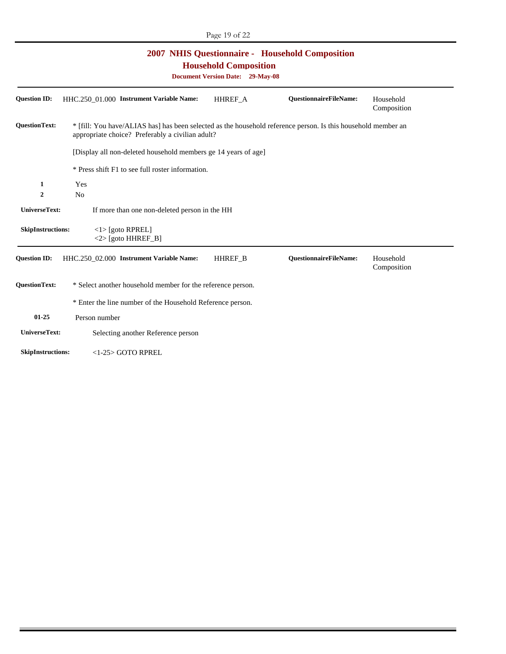| <b>2007 NHIS Questionnaire - Household Composition</b><br><b>Household Composition</b><br><b>Document Version Date: 29-May-08</b>                                                         |                                                                |                |                               |                          |  |
|-------------------------------------------------------------------------------------------------------------------------------------------------------------------------------------------|----------------------------------------------------------------|----------------|-------------------------------|--------------------------|--|
| <b>Question ID:</b>                                                                                                                                                                       | HHC.250 01.000 Instrument Variable Name:                       | HHREF_A        | <b>QuestionnaireFileName:</b> | Household<br>Composition |  |
| <b>OuestionText:</b><br>* [fill: You have/ALIAS has] has been selected as the household reference person. Is this household member an<br>appropriate choice? Preferably a civilian adult? |                                                                |                |                               |                          |  |
|                                                                                                                                                                                           | [Display all non-deleted household members ge 14 years of age] |                |                               |                          |  |
|                                                                                                                                                                                           | * Press shift F1 to see full roster information.               |                |                               |                          |  |
| 1<br>$\overline{2}$                                                                                                                                                                       | Yes<br>N <sub>0</sub>                                          |                |                               |                          |  |
| UniverseText:                                                                                                                                                                             | If more than one non-deleted person in the HH                  |                |                               |                          |  |
| <b>SkipInstructions:</b>                                                                                                                                                                  | $<$ 1> [goto RPREL]<br>$<$ 2> [goto HHREF_B]                   |                |                               |                          |  |
| <b>Question ID:</b>                                                                                                                                                                       | HHC.250_02.000 Instrument Variable Name:                       | <b>HHREF B</b> | <b>QuestionnaireFileName:</b> | Household<br>Composition |  |
| <b>QuestionText:</b>                                                                                                                                                                      | * Select another household member for the reference person.    |                |                               |                          |  |
|                                                                                                                                                                                           | * Enter the line number of the Household Reference person.     |                |                               |                          |  |
| $01 - 25$                                                                                                                                                                                 | Person number                                                  |                |                               |                          |  |
| UniverseText:                                                                                                                                                                             | Selecting another Reference person                             |                |                               |                          |  |
| <b>SkipInstructions:</b>                                                                                                                                                                  | $<$ 1-25 $>$ GOTO RPREL                                        |                |                               |                          |  |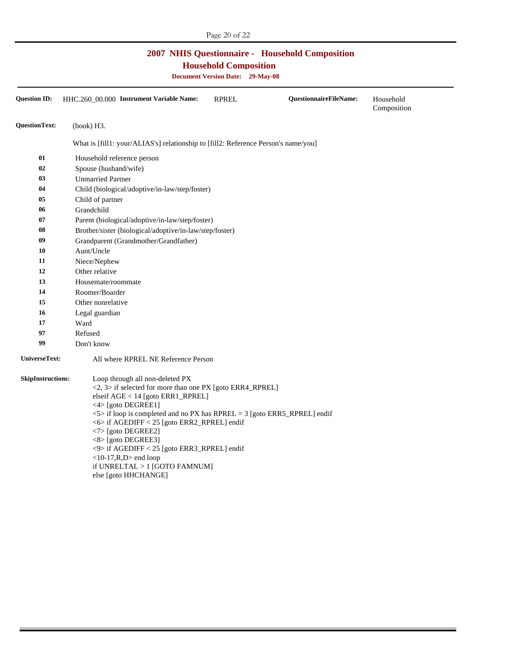## **2007 NHIS Questionnaire - Household Composition**

**Household Composition** 

**Document Version Date: 29-May-08** 

| <b>Question ID:</b>      | HHC.260 00.000 Instrument Variable Name:                                                                                                                                                                                                                                                                                                                                                                                                                                                                                                | <b>RPREL</b> | <b>QuestionnaireFileName:</b> | Household<br>Composition |
|--------------------------|-----------------------------------------------------------------------------------------------------------------------------------------------------------------------------------------------------------------------------------------------------------------------------------------------------------------------------------------------------------------------------------------------------------------------------------------------------------------------------------------------------------------------------------------|--------------|-------------------------------|--------------------------|
| <b>QuestionText:</b>     | (book) H3.                                                                                                                                                                                                                                                                                                                                                                                                                                                                                                                              |              |                               |                          |
|                          | What is [fill1: your/ALIAS's] relationship to [fill2: Reference Person's name/you]                                                                                                                                                                                                                                                                                                                                                                                                                                                      |              |                               |                          |
| 01                       | Household reference person                                                                                                                                                                                                                                                                                                                                                                                                                                                                                                              |              |                               |                          |
| 02                       | Spouse (husband/wife)                                                                                                                                                                                                                                                                                                                                                                                                                                                                                                                   |              |                               |                          |
| 03                       | <b>Unmarried Partner</b>                                                                                                                                                                                                                                                                                                                                                                                                                                                                                                                |              |                               |                          |
| 04                       | Child (biological/adoptive/in-law/step/foster)                                                                                                                                                                                                                                                                                                                                                                                                                                                                                          |              |                               |                          |
| 05                       | Child of partner                                                                                                                                                                                                                                                                                                                                                                                                                                                                                                                        |              |                               |                          |
| 06                       | Grandchild                                                                                                                                                                                                                                                                                                                                                                                                                                                                                                                              |              |                               |                          |
| 07                       | Parent (biological/adoptive/in-law/step/foster)                                                                                                                                                                                                                                                                                                                                                                                                                                                                                         |              |                               |                          |
| 08                       | Brother/sister (biological/adoptive/in-law/step/foster)                                                                                                                                                                                                                                                                                                                                                                                                                                                                                 |              |                               |                          |
| 09                       | Grandparent (Grandmother/Grandfather)                                                                                                                                                                                                                                                                                                                                                                                                                                                                                                   |              |                               |                          |
| 10                       | Aunt/Uncle                                                                                                                                                                                                                                                                                                                                                                                                                                                                                                                              |              |                               |                          |
| 11                       | Niece/Nephew                                                                                                                                                                                                                                                                                                                                                                                                                                                                                                                            |              |                               |                          |
| 12                       | Other relative                                                                                                                                                                                                                                                                                                                                                                                                                                                                                                                          |              |                               |                          |
| 13                       | Housemate/roommate                                                                                                                                                                                                                                                                                                                                                                                                                                                                                                                      |              |                               |                          |
| 14                       | Roomer/Boarder                                                                                                                                                                                                                                                                                                                                                                                                                                                                                                                          |              |                               |                          |
| 15                       | Other nonrelative                                                                                                                                                                                                                                                                                                                                                                                                                                                                                                                       |              |                               |                          |
| 16                       | Legal guardian                                                                                                                                                                                                                                                                                                                                                                                                                                                                                                                          |              |                               |                          |
| 17                       | Ward                                                                                                                                                                                                                                                                                                                                                                                                                                                                                                                                    |              |                               |                          |
| 97                       | Refused                                                                                                                                                                                                                                                                                                                                                                                                                                                                                                                                 |              |                               |                          |
| 99                       | Don't know                                                                                                                                                                                                                                                                                                                                                                                                                                                                                                                              |              |                               |                          |
| UniverseText:            | All where RPREL NE Reference Person                                                                                                                                                                                                                                                                                                                                                                                                                                                                                                     |              |                               |                          |
| <b>SkipInstructions:</b> | Loop through all non-deleted PX<br>$\langle 2, 3 \rangle$ if selected for more than one PX [goto ERR4_RPREL]<br>elseif AGE < 14 [goto ERR1_RPREL]<br>$\langle 4 \rangle$ [goto DEGREE1]<br>$\langle 5 \rangle$ if loop is completed and no PX has RPREL = 3 [goto ERR5_RPREL] endif<br><6> if AGEDIFF < 25 [goto ERR2_RPREL] endif<br><7> [goto DEGREE2]<br><8> [goto DEGREE3]<br>$\langle$ 9> if AGEDIFF $\langle$ 25 [goto ERR3_RPREL] endif<br>$<10-17$ , R, D $>$ end loop<br>if UNRELTAL > 1 [GOTO FAMNUM]<br>else [goto HHCHANGE] |              |                               |                          |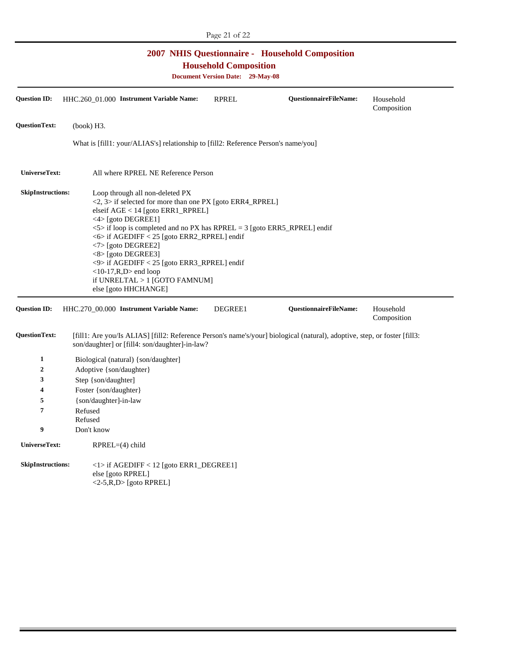| <b>2007 NHIS Questionnaire - Household Composition</b><br><b>Household Composition</b><br><b>Document Version Date: 29-May-08</b> |                                                                                                                                                                                                                                                                                                                                                                                                                                                                                                         |              |                        |                          |  |
|-----------------------------------------------------------------------------------------------------------------------------------|---------------------------------------------------------------------------------------------------------------------------------------------------------------------------------------------------------------------------------------------------------------------------------------------------------------------------------------------------------------------------------------------------------------------------------------------------------------------------------------------------------|--------------|------------------------|--------------------------|--|
| <b>Ouestion ID:</b>                                                                                                               | HHC.260 01.000 Instrument Variable Name:                                                                                                                                                                                                                                                                                                                                                                                                                                                                | <b>RPREL</b> | QuestionnaireFileName: | Household<br>Composition |  |
| <b>QuestionText:</b>                                                                                                              | (book) H3.                                                                                                                                                                                                                                                                                                                                                                                                                                                                                              |              |                        |                          |  |
|                                                                                                                                   | What is [fill1: your/ALIAS's] relationship to [fill2: Reference Person's name/you]                                                                                                                                                                                                                                                                                                                                                                                                                      |              |                        |                          |  |
| UniverseText:                                                                                                                     | All where RPREL NE Reference Person                                                                                                                                                                                                                                                                                                                                                                                                                                                                     |              |                        |                          |  |
| <b>SkipInstructions:</b>                                                                                                          | Loop through all non-deleted PX<br>$\langle 2, 3 \rangle$ if selected for more than one PX [goto ERR4_RPREL]<br>elseif AGE < 14 [goto ERR1_RPREL]<br><4> [goto DEGREE1]<br>$5$ if loop is completed and no PX has RPREL = 3 [goto ERR5_RPREL] endif<br><6> if AGEDIFF < 25 [goto ERR2_RPREL] endif<br>$\langle 7 \rangle$ [goto DEGREE2]<br><8> [goto DEGREE3]<br><9> if AGEDIFF < 25 [goto ERR3_RPREL] endif<br>$<$ 10-17, R, D $>$ end loop<br>if UNRELTAL $>1$ [GOTO FAMNUM]<br>else [goto HHCHANGE] |              |                        |                          |  |
| <b>Question ID:</b>                                                                                                               | HHC.270_00.000 Instrument Variable Name:                                                                                                                                                                                                                                                                                                                                                                                                                                                                | DEGREE1      | QuestionnaireFileName: | Household<br>Composition |  |
| QuestionText:                                                                                                                     | [fill1: Are you/Is ALIAS] [fill2: Reference Person's name's/your] biological (natural), adoptive, step, or foster [fill3:<br>son/daughter] or [fill4: son/daughter]-in-law?                                                                                                                                                                                                                                                                                                                             |              |                        |                          |  |
| 1                                                                                                                                 | Biological (natural) {son/daughter]                                                                                                                                                                                                                                                                                                                                                                                                                                                                     |              |                        |                          |  |
| 2                                                                                                                                 | Adoptive {son/daughter}                                                                                                                                                                                                                                                                                                                                                                                                                                                                                 |              |                        |                          |  |
| 3                                                                                                                                 | Step {son/daughter]                                                                                                                                                                                                                                                                                                                                                                                                                                                                                     |              |                        |                          |  |
| 4                                                                                                                                 | Foster {son/daughter}                                                                                                                                                                                                                                                                                                                                                                                                                                                                                   |              |                        |                          |  |
| 5                                                                                                                                 | {son/daughter]-in-law                                                                                                                                                                                                                                                                                                                                                                                                                                                                                   |              |                        |                          |  |
| 7                                                                                                                                 | Refused<br>Refused                                                                                                                                                                                                                                                                                                                                                                                                                                                                                      |              |                        |                          |  |
| 9                                                                                                                                 | Don't know                                                                                                                                                                                                                                                                                                                                                                                                                                                                                              |              |                        |                          |  |
| UniverseText:                                                                                                                     | $RPREL=(4) child$                                                                                                                                                                                                                                                                                                                                                                                                                                                                                       |              |                        |                          |  |
| <b>SkipInstructions:</b>                                                                                                          | <1> if AGEDIFF < 12 [goto ERR1_DEGREE1]<br>else [goto RPREL]<br>$<$ 2-5, R, D $>$ [goto RPREL]                                                                                                                                                                                                                                                                                                                                                                                                          |              |                        |                          |  |